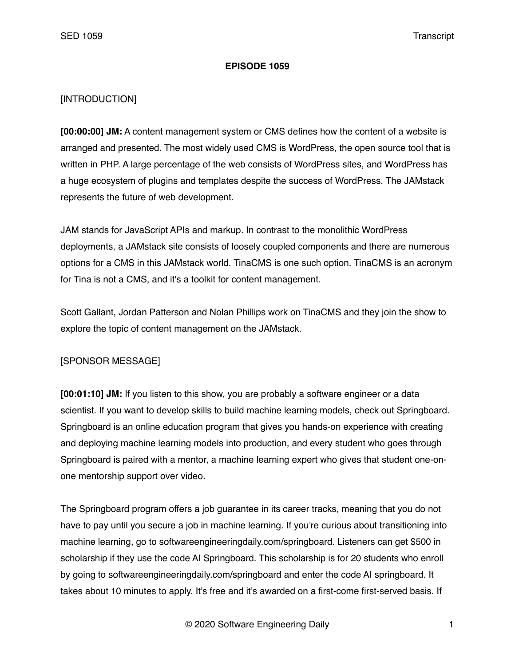#### **EPISODE 1059**

## [INTRODUCTION]

**[00:00:00] JM:** A content management system or CMS defines how the content of a website is arranged and presented. The most widely used CMS is WordPress, the open source tool that is written in PHP. A large percentage of the web consists of WordPress sites, and WordPress has a huge ecosystem of plugins and templates despite the success of WordPress. The JAMstack represents the future of web development.

JAM stands for JavaScript APIs and markup. In contrast to the monolithic WordPress deployments, a JAMstack site consists of loosely coupled components and there are numerous options for a CMS in this JAMstack world. TinaCMS is one such option. TinaCMS is an acronym for Tina is not a CMS, and it's a toolkit for content management.

Scott Gallant, Jordan Patterson and Nolan Phillips work on TinaCMS and they join the show to explore the topic of content management on the JAMstack.

### [SPONSOR MESSAGE]

**[00:01:10] JM:** If you listen to this show, you are probably a software engineer or a data scientist. If you want to develop skills to build machine learning models, check out Springboard. Springboard is an online education program that gives you hands-on experience with creating and deploying machine learning models into production, and every student who goes through Springboard is paired with a mentor, a machine learning expert who gives that student one-onone mentorship support over video.

The Springboard program offers a job guarantee in its career tracks, meaning that you do not have to pay until you secure a job in machine learning. If you're curious about transitioning into machine learning, go to softwareengineeringdaily.com/springboard. Listeners can get \$500 in scholarship if they use the code AI Springboard. This scholarship is for 20 students who enroll by going to softwareengineeringdaily.com/springboard and enter the code AI springboard. It takes about 10 minutes to apply. It's free and it's awarded on a first-come first-served basis. If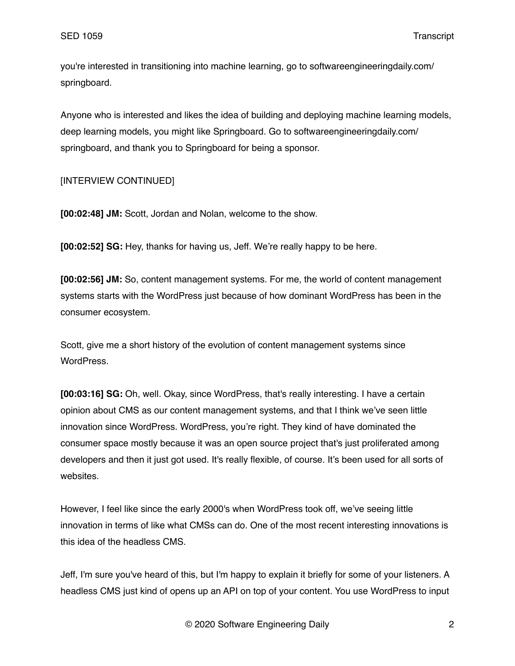you're interested in transitioning into machine learning, go to softwareengineeringdaily.com/ springboard.

Anyone who is interested and likes the idea of building and deploying machine learning models, deep learning models, you might like Springboard. Go to softwareengineeringdaily.com/ springboard, and thank you to Springboard for being a sponsor.

## [INTERVIEW CONTINUED]

**[00:02:48] JM:** Scott, Jordan and Nolan, welcome to the show.

**[00:02:52] SG:** Hey, thanks for having us, Jeff. We're really happy to be here.

**[00:02:56] JM:** So, content management systems. For me, the world of content management systems starts with the WordPress just because of how dominant WordPress has been in the consumer ecosystem.

Scott, give me a short history of the evolution of content management systems since WordPress.

**[00:03:16] SG:** Oh, well. Okay, since WordPress, that's really interesting. I have a certain opinion about CMS as our content management systems, and that I think we've seen little innovation since WordPress. WordPress, you're right. They kind of have dominated the consumer space mostly because it was an open source project that's just proliferated among developers and then it just got used. It's really flexible, of course. It's been used for all sorts of websites.

However, I feel like since the early 2000's when WordPress took off, we've seeing little innovation in terms of like what CMSs can do. One of the most recent interesting innovations is this idea of the headless CMS.

Jeff, I'm sure you've heard of this, but I'm happy to explain it briefly for some of your listeners. A headless CMS just kind of opens up an API on top of your content. You use WordPress to input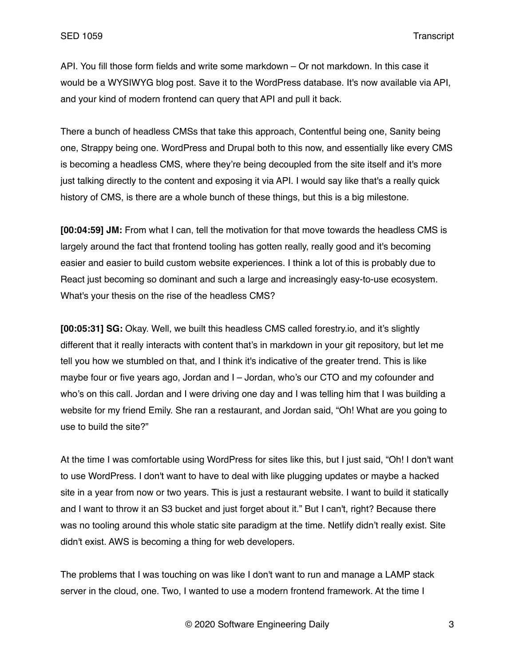API. You fill those form fields and write some markdown – Or not markdown. In this case it would be a WYSIWYG blog post. Save it to the WordPress database. It's now available via API, and your kind of modern frontend can query that API and pull it back.

There a bunch of headless CMSs that take this approach, Contentful being one, Sanity being one, Strappy being one. WordPress and Drupal both to this now, and essentially like every CMS is becoming a headless CMS, where they're being decoupled from the site itself and it's more just talking directly to the content and exposing it via API. I would say like that's a really quick history of CMS, is there are a whole bunch of these things, but this is a big milestone.

**[00:04:59] JM:** From what I can, tell the motivation for that move towards the headless CMS is largely around the fact that frontend tooling has gotten really, really good and it's becoming easier and easier to build custom website experiences. I think a lot of this is probably due to React just becoming so dominant and such a large and increasingly easy-to-use ecosystem. What's your thesis on the rise of the headless CMS?

**[00:05:31] SG:** Okay. Well, we built this headless CMS called forestry.io, and it's slightly different that it really interacts with content that's in markdown in your git repository, but let me tell you how we stumbled on that, and I think it's indicative of the greater trend. This is like maybe four or five years ago, Jordan and I – Jordan, who's our CTO and my cofounder and who's on this call. Jordan and I were driving one day and I was telling him that I was building a website for my friend Emily. She ran a restaurant, and Jordan said, "Oh! What are you going to use to build the site?"

At the time I was comfortable using WordPress for sites like this, but I just said, "Oh! I don't want to use WordPress. I don't want to have to deal with like plugging updates or maybe a hacked site in a year from now or two years. This is just a restaurant website. I want to build it statically and I want to throw it an S3 bucket and just forget about it." But I can't, right? Because there was no tooling around this whole static site paradigm at the time. Netlify didn't really exist. Site didn't exist. AWS is becoming a thing for web developers.

The problems that I was touching on was like I don't want to run and manage a LAMP stack server in the cloud, one. Two, I wanted to use a modern frontend framework. At the time I

© 2020 Software Engineering Daily 3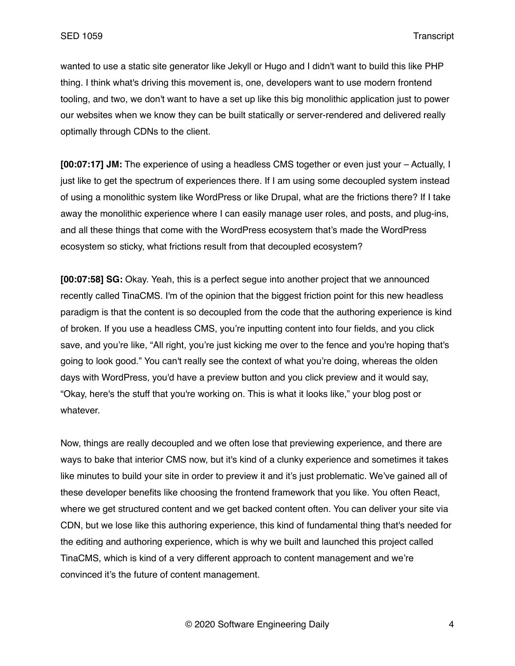wanted to use a static site generator like Jekyll or Hugo and I didn't want to build this like PHP thing. I think what's driving this movement is, one, developers want to use modern frontend tooling, and two, we don't want to have a set up like this big monolithic application just to power our websites when we know they can be built statically or server-rendered and delivered really optimally through CDNs to the client.

**[00:07:17] JM:** The experience of using a headless CMS together or even just your – Actually, I just like to get the spectrum of experiences there. If I am using some decoupled system instead of using a monolithic system like WordPress or like Drupal, what are the frictions there? If I take away the monolithic experience where I can easily manage user roles, and posts, and plug-ins, and all these things that come with the WordPress ecosystem that's made the WordPress ecosystem so sticky, what frictions result from that decoupled ecosystem?

**[00:07:58] SG:** Okay. Yeah, this is a perfect segue into another project that we announced recently called TinaCMS. I'm of the opinion that the biggest friction point for this new headless paradigm is that the content is so decoupled from the code that the authoring experience is kind of broken. If you use a headless CMS, you're inputting content into four fields, and you click save, and you're like, "All right, you're just kicking me over to the fence and you're hoping that's going to look good." You can't really see the context of what you're doing, whereas the olden days with WordPress, you'd have a preview button and you click preview and it would say, "Okay, here's the stuff that you're working on. This is what it looks like," your blog post or whatever.

Now, things are really decoupled and we often lose that previewing experience, and there are ways to bake that interior CMS now, but it's kind of a clunky experience and sometimes it takes like minutes to build your site in order to preview it and it's just problematic. We've gained all of these developer benefits like choosing the frontend framework that you like. You often React, where we get structured content and we get backed content often. You can deliver your site via CDN, but we lose like this authoring experience, this kind of fundamental thing that's needed for the editing and authoring experience, which is why we built and launched this project called TinaCMS, which is kind of a very different approach to content management and we're convinced it's the future of content management.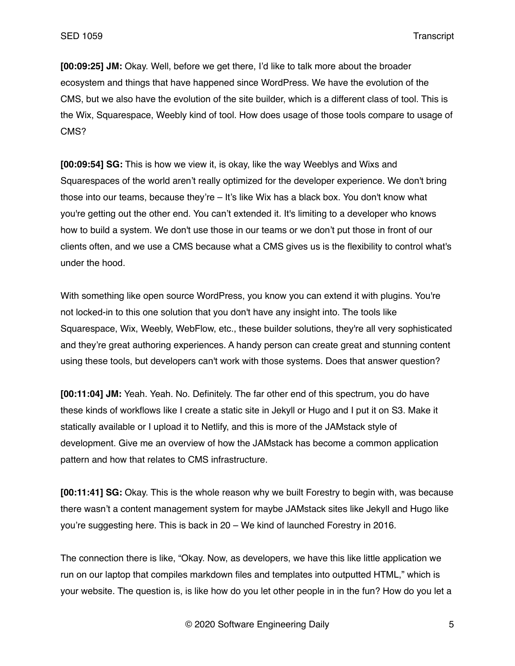**[00:09:25] JM:** Okay. Well, before we get there, I'd like to talk more about the broader ecosystem and things that have happened since WordPress. We have the evolution of the CMS, but we also have the evolution of the site builder, which is a different class of tool. This is the Wix, Squarespace, Weebly kind of tool. How does usage of those tools compare to usage of CMS?

**[00:09:54] SG:** This is how we view it, is okay, like the way Weeblys and Wixs and Squarespaces of the world aren't really optimized for the developer experience. We don't bring those into our teams, because they're – It's like Wix has a black box. You don't know what you're getting out the other end. You can't extended it. It's limiting to a developer who knows how to build a system. We don't use those in our teams or we don't put those in front of our clients often, and we use a CMS because what a CMS gives us is the flexibility to control what's under the hood.

With something like open source WordPress, you know you can extend it with plugins. You're not locked-in to this one solution that you don't have any insight into. The tools like Squarespace, Wix, Weebly, WebFlow, etc., these builder solutions, they're all very sophisticated and they're great authoring experiences. A handy person can create great and stunning content using these tools, but developers can't work with those systems. Does that answer question?

**[00:11:04] JM:** Yeah. Yeah. No. Definitely. The far other end of this spectrum, you do have these kinds of workflows like I create a static site in Jekyll or Hugo and I put it on S3. Make it statically available or I upload it to Netlify, and this is more of the JAMstack style of development. Give me an overview of how the JAMstack has become a common application pattern and how that relates to CMS infrastructure.

**[00:11:41] SG:** Okay. This is the whole reason why we built Forestry to begin with, was because there wasn't a content management system for maybe JAMstack sites like Jekyll and Hugo like you're suggesting here. This is back in 20 – We kind of launched Forestry in 2016.

The connection there is like, "Okay. Now, as developers, we have this like little application we run on our laptop that compiles markdown files and templates into outputted HTML," which is your website. The question is, is like how do you let other people in in the fun? How do you let a

© 2020 Software Engineering Daily 5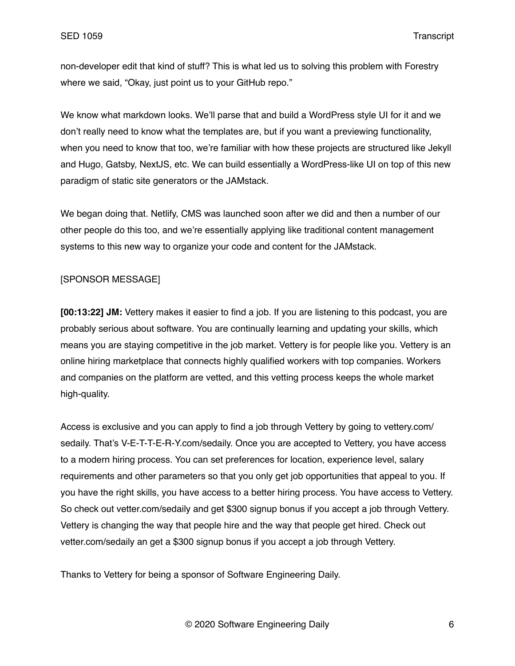non-developer edit that kind of stuff? This is what led us to solving this problem with Forestry where we said, "Okay, just point us to your GitHub repo."

We know what markdown looks. We'll parse that and build a WordPress style UI for it and we don't really need to know what the templates are, but if you want a previewing functionality, when you need to know that too, we're familiar with how these projects are structured like Jekyll and Hugo, Gatsby, NextJS, etc. We can build essentially a WordPress-like UI on top of this new paradigm of static site generators or the JAMstack.

We began doing that. Netlify, CMS was launched soon after we did and then a number of our other people do this too, and we're essentially applying like traditional content management systems to this new way to organize your code and content for the JAMstack.

## [SPONSOR MESSAGE]

**[00:13:22] JM:** Vettery makes it easier to find a job. If you are listening to this podcast, you are probably serious about software. You are continually learning and updating your skills, which means you are staying competitive in the job market. Vettery is for people like you. Vettery is an online hiring marketplace that connects highly qualified workers with top companies. Workers and companies on the platform are vetted, and this vetting process keeps the whole market high-quality.

Access is exclusive and you can apply to find a job through Vettery by going to vettery.com/ sedaily. That's V-E-T-T-E-R-Y.com/sedaily. Once you are accepted to Vettery, you have access to a modern hiring process. You can set preferences for location, experience level, salary requirements and other parameters so that you only get job opportunities that appeal to you. If you have the right skills, you have access to a better hiring process. You have access to Vettery. So check out vetter.com/sedaily and get \$300 signup bonus if you accept a job through Vettery. Vettery is changing the way that people hire and the way that people get hired. Check out vetter.com/sedaily an get a \$300 signup bonus if you accept a job through Vettery.

Thanks to Vettery for being a sponsor of Software Engineering Daily.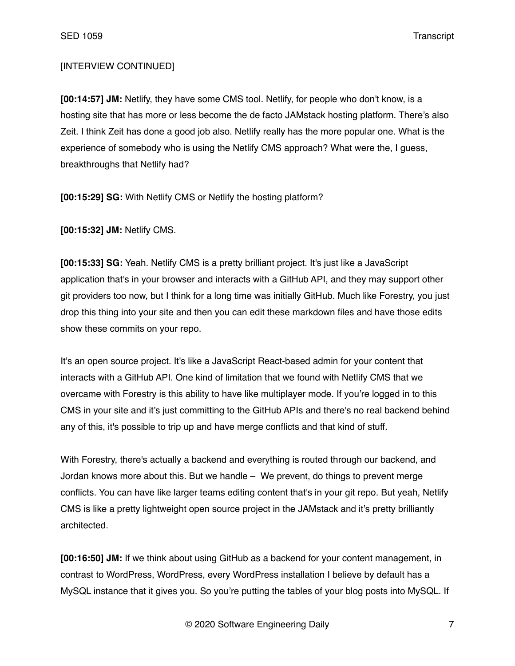# [INTERVIEW CONTINUED]

**[00:14:57] JM:** Netlify, they have some CMS tool. Netlify, for people who don't know, is a hosting site that has more or less become the de facto JAMstack hosting platform. There's also Zeit. I think Zeit has done a good job also. Netlify really has the more popular one. What is the experience of somebody who is using the Netlify CMS approach? What were the, I guess, breakthroughs that Netlify had?

**[00:15:29] SG:** With Netlify CMS or Netlify the hosting platform?

**[00:15:32] JM:** Netlify CMS.

**[00:15:33] SG:** Yeah. Netlify CMS is a pretty brilliant project. It's just like a JavaScript application that's in your browser and interacts with a GitHub API, and they may support other git providers too now, but I think for a long time was initially GitHub. Much like Forestry, you just drop this thing into your site and then you can edit these markdown files and have those edits show these commits on your repo.

It's an open source project. It's like a JavaScript React-based admin for your content that interacts with a GitHub API. One kind of limitation that we found with Netlify CMS that we overcame with Forestry is this ability to have like multiplayer mode. If you're logged in to this CMS in your site and it's just committing to the GitHub APIs and there's no real backend behind any of this, it's possible to trip up and have merge conflicts and that kind of stuff.

With Forestry, there's actually a backend and everything is routed through our backend, and Jordan knows more about this. But we handle – We prevent, do things to prevent merge conflicts. You can have like larger teams editing content that's in your git repo. But yeah, Netlify CMS is like a pretty lightweight open source project in the JAMstack and it's pretty brilliantly architected.

**[00:16:50] JM:** If we think about using GitHub as a backend for your content management, in contrast to WordPress, WordPress, every WordPress installation I believe by default has a MySQL instance that it gives you. So you're putting the tables of your blog posts into MySQL. If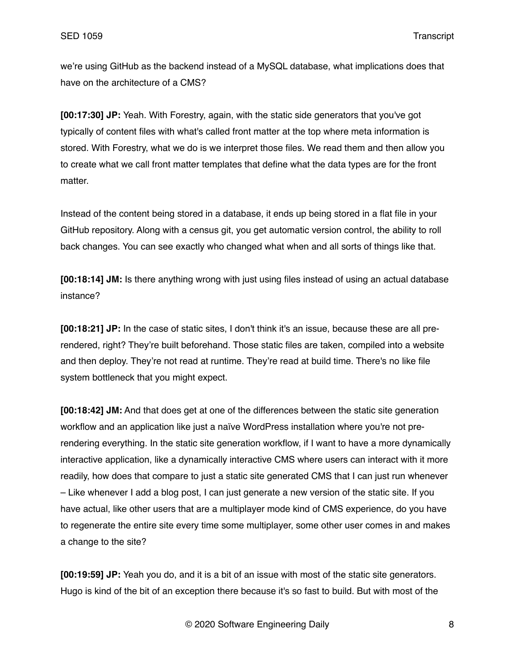we're using GitHub as the backend instead of a MySQL database, what implications does that have on the architecture of a CMS?

**[00:17:30] JP:** Yeah. With Forestry, again, with the static side generators that you've got typically of content files with what's called front matter at the top where meta information is stored. With Forestry, what we do is we interpret those files. We read them and then allow you to create what we call front matter templates that define what the data types are for the front matter.

Instead of the content being stored in a database, it ends up being stored in a flat file in your GitHub repository. Along with a census git, you get automatic version control, the ability to roll back changes. You can see exactly who changed what when and all sorts of things like that.

**[00:18:14] JM:** Is there anything wrong with just using files instead of using an actual database instance?

**[00:18:21] JP:** In the case of static sites, I don't think it's an issue, because these are all prerendered, right? They're built beforehand. Those static files are taken, compiled into a website and then deploy. They're not read at runtime. They're read at build time. There's no like file system bottleneck that you might expect.

**[00:18:42] JM:** And that does get at one of the differences between the static site generation workflow and an application like just a naïve WordPress installation where you're not prerendering everything. In the static site generation workflow, if I want to have a more dynamically interactive application, like a dynamically interactive CMS where users can interact with it more readily, how does that compare to just a static site generated CMS that I can just run whenever – Like whenever I add a blog post, I can just generate a new version of the static site. If you have actual, like other users that are a multiplayer mode kind of CMS experience, do you have to regenerate the entire site every time some multiplayer, some other user comes in and makes a change to the site?

**[00:19:59] JP:** Yeah you do, and it is a bit of an issue with most of the static site generators. Hugo is kind of the bit of an exception there because it's so fast to build. But with most of the

© 2020 Software Engineering Daily 8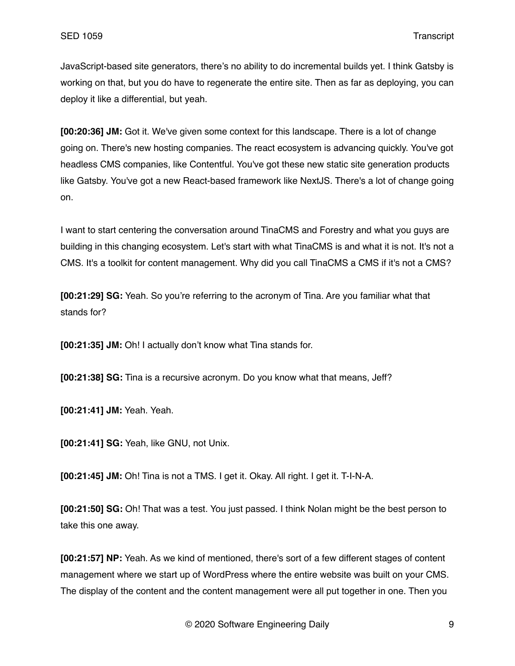JavaScript-based site generators, there's no ability to do incremental builds yet. I think Gatsby is working on that, but you do have to regenerate the entire site. Then as far as deploying, you can deploy it like a differential, but yeah.

**[00:20:36] JM:** Got it. We've given some context for this landscape. There is a lot of change going on. There's new hosting companies. The react ecosystem is advancing quickly. You've got headless CMS companies, like Contentful. You've got these new static site generation products like Gatsby. You've got a new React-based framework like NextJS. There's a lot of change going on.

I want to start centering the conversation around TinaCMS and Forestry and what you guys are building in this changing ecosystem. Let's start with what TinaCMS is and what it is not. It's not a CMS. It's a toolkit for content management. Why did you call TinaCMS a CMS if it's not a CMS?

**[00:21:29] SG:** Yeah. So you're referring to the acronym of Tina. Are you familiar what that stands for?

**[00:21:35] JM:** Oh! I actually don't know what Tina stands for.

**[00:21:38] SG:** Tina is a recursive acronym. Do you know what that means, Jeff?

**[00:21:41] JM:** Yeah. Yeah.

**[00:21:41] SG:** Yeah, like GNU, not Unix.

**[00:21:45] JM:** Oh! Tina is not a TMS. I get it. Okay. All right. I get it. T-I-N-A.

**[00:21:50] SG:** Oh! That was a test. You just passed. I think Nolan might be the best person to take this one away.

**[00:21:57] NP:** Yeah. As we kind of mentioned, there's sort of a few different stages of content management where we start up of WordPress where the entire website was built on your CMS. The display of the content and the content management were all put together in one. Then you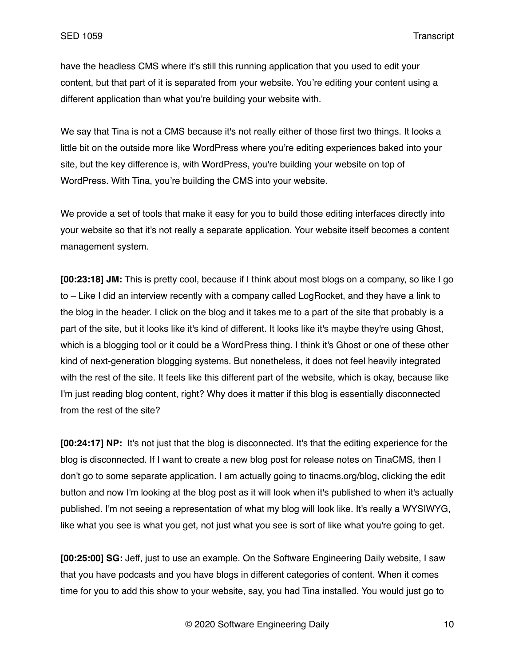have the headless CMS where it's still this running application that you used to edit your content, but that part of it is separated from your website. You're editing your content using a different application than what you're building your website with.

We say that Tina is not a CMS because it's not really either of those first two things. It looks a little bit on the outside more like WordPress where you're editing experiences baked into your site, but the key difference is, with WordPress, you're building your website on top of WordPress. With Tina, you're building the CMS into your website.

We provide a set of tools that make it easy for you to build those editing interfaces directly into your website so that it's not really a separate application. Your website itself becomes a content management system.

**[00:23:18] JM:** This is pretty cool, because if I think about most blogs on a company, so like I go to – Like I did an interview recently with a company called LogRocket, and they have a link to the blog in the header. I click on the blog and it takes me to a part of the site that probably is a part of the site, but it looks like it's kind of different. It looks like it's maybe they're using Ghost, which is a blogging tool or it could be a WordPress thing. I think it's Ghost or one of these other kind of next-generation blogging systems. But nonetheless, it does not feel heavily integrated with the rest of the site. It feels like this different part of the website, which is okay, because like I'm just reading blog content, right? Why does it matter if this blog is essentially disconnected from the rest of the site?

**[00:24:17] NP:** It's not just that the blog is disconnected. It's that the editing experience for the blog is disconnected. If I want to create a new blog post for release notes on TinaCMS, then I don't go to some separate application. I am actually going to tinacms.org/blog, clicking the edit button and now I'm looking at the blog post as it will look when it's published to when it's actually published. I'm not seeing a representation of what my blog will look like. It's really a WYSIWYG, like what you see is what you get, not just what you see is sort of like what you're going to get.

**[00:25:00] SG:** Jeff, just to use an example. On the Software Engineering Daily website, I saw that you have podcasts and you have blogs in different categories of content. When it comes time for you to add this show to your website, say, you had Tina installed. You would just go to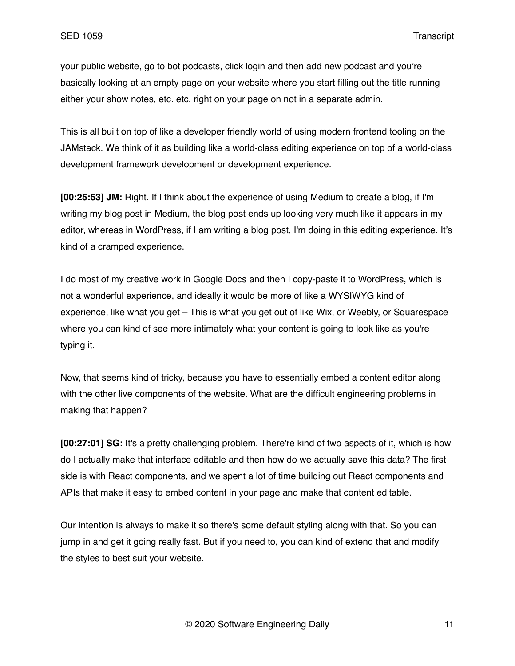your public website, go to bot podcasts, click login and then add new podcast and you're basically looking at an empty page on your website where you start filling out the title running either your show notes, etc. etc. right on your page on not in a separate admin.

This is all built on top of like a developer friendly world of using modern frontend tooling on the JAMstack. We think of it as building like a world-class editing experience on top of a world-class development framework development or development experience.

**[00:25:53] JM:** Right. If I think about the experience of using Medium to create a blog, if I'm writing my blog post in Medium, the blog post ends up looking very much like it appears in my editor, whereas in WordPress, if I am writing a blog post, I'm doing in this editing experience. It's kind of a cramped experience.

I do most of my creative work in Google Docs and then I copy-paste it to WordPress, which is not a wonderful experience, and ideally it would be more of like a WYSIWYG kind of experience, like what you get – This is what you get out of like Wix, or Weebly, or Squarespace where you can kind of see more intimately what your content is going to look like as you're typing it.

Now, that seems kind of tricky, because you have to essentially embed a content editor along with the other live components of the website. What are the difficult engineering problems in making that happen?

**[00:27:01] SG:** It's a pretty challenging problem. There're kind of two aspects of it, which is how do I actually make that interface editable and then how do we actually save this data? The first side is with React components, and we spent a lot of time building out React components and APIs that make it easy to embed content in your page and make that content editable.

Our intention is always to make it so there's some default styling along with that. So you can jump in and get it going really fast. But if you need to, you can kind of extend that and modify the styles to best suit your website.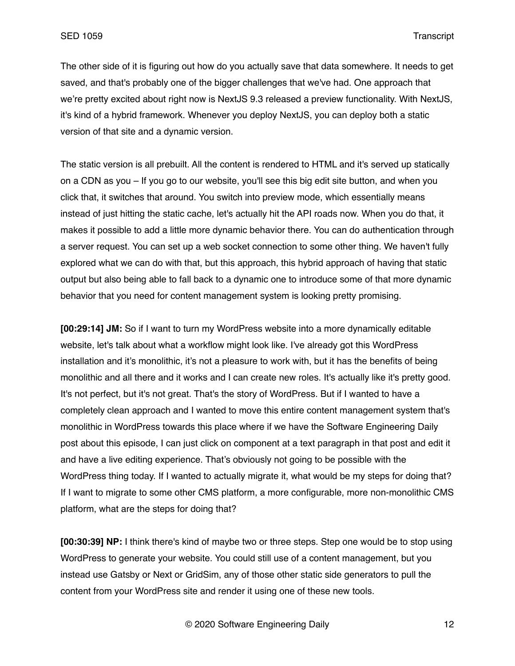The other side of it is figuring out how do you actually save that data somewhere. It needs to get saved, and that's probably one of the bigger challenges that we've had. One approach that we're pretty excited about right now is NextJS 9.3 released a preview functionality. With NextJS, it's kind of a hybrid framework. Whenever you deploy NextJS, you can deploy both a static version of that site and a dynamic version.

The static version is all prebuilt. All the content is rendered to HTML and it's served up statically on a CDN as you – If you go to our website, you'll see this big edit site button, and when you click that, it switches that around. You switch into preview mode, which essentially means instead of just hitting the static cache, let's actually hit the API roads now. When you do that, it makes it possible to add a little more dynamic behavior there. You can do authentication through a server request. You can set up a web socket connection to some other thing. We haven't fully explored what we can do with that, but this approach, this hybrid approach of having that static output but also being able to fall back to a dynamic one to introduce some of that more dynamic behavior that you need for content management system is looking pretty promising.

**[00:29:14] JM:** So if I want to turn my WordPress website into a more dynamically editable website, let's talk about what a workflow might look like. I've already got this WordPress installation and it's monolithic, it's not a pleasure to work with, but it has the benefits of being monolithic and all there and it works and I can create new roles. It's actually like it's pretty good. It's not perfect, but it's not great. That's the story of WordPress. But if I wanted to have a completely clean approach and I wanted to move this entire content management system that's monolithic in WordPress towards this place where if we have the Software Engineering Daily post about this episode, I can just click on component at a text paragraph in that post and edit it and have a live editing experience. That's obviously not going to be possible with the WordPress thing today. If I wanted to actually migrate it, what would be my steps for doing that? If I want to migrate to some other CMS platform, a more configurable, more non-monolithic CMS platform, what are the steps for doing that?

**[00:30:39] NP:** I think there's kind of maybe two or three steps. Step one would be to stop using WordPress to generate your website. You could still use of a content management, but you instead use Gatsby or Next or GridSim, any of those other static side generators to pull the content from your WordPress site and render it using one of these new tools.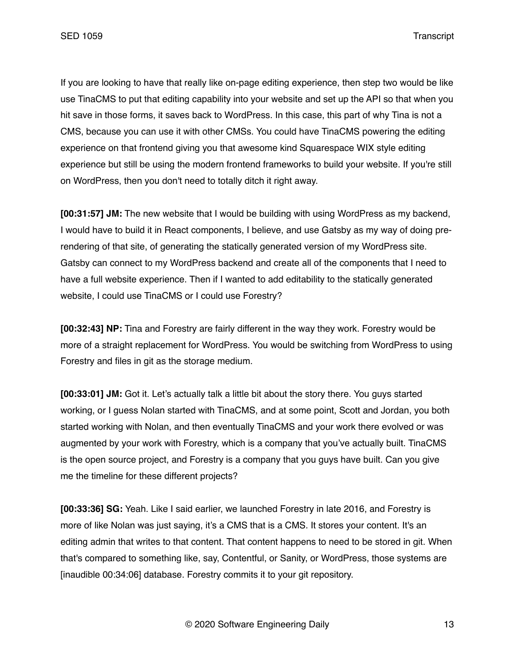If you are looking to have that really like on-page editing experience, then step two would be like use TinaCMS to put that editing capability into your website and set up the API so that when you hit save in those forms, it saves back to WordPress. In this case, this part of why Tina is not a CMS, because you can use it with other CMSs. You could have TinaCMS powering the editing experience on that frontend giving you that awesome kind Squarespace WIX style editing experience but still be using the modern frontend frameworks to build your website. If you're still on WordPress, then you don't need to totally ditch it right away.

**[00:31:57] JM:** The new website that I would be building with using WordPress as my backend, I would have to build it in React components, I believe, and use Gatsby as my way of doing prerendering of that site, of generating the statically generated version of my WordPress site. Gatsby can connect to my WordPress backend and create all of the components that I need to have a full website experience. Then if I wanted to add editability to the statically generated website, I could use TinaCMS or I could use Forestry?

**[00:32:43] NP:** Tina and Forestry are fairly different in the way they work. Forestry would be more of a straight replacement for WordPress. You would be switching from WordPress to using Forestry and files in git as the storage medium.

**[00:33:01] JM:** Got it. Let's actually talk a little bit about the story there. You guys started working, or I guess Nolan started with TinaCMS, and at some point, Scott and Jordan, you both started working with Nolan, and then eventually TinaCMS and your work there evolved or was augmented by your work with Forestry, which is a company that you've actually built. TinaCMS is the open source project, and Forestry is a company that you guys have built. Can you give me the timeline for these different projects?

**[00:33:36] SG:** Yeah. Like I said earlier, we launched Forestry in late 2016, and Forestry is more of like Nolan was just saying, it's a CMS that is a CMS. It stores your content. It's an editing admin that writes to that content. That content happens to need to be stored in git. When that's compared to something like, say, Contentful, or Sanity, or WordPress, those systems are [inaudible 00:34:06] database. Forestry commits it to your git repository.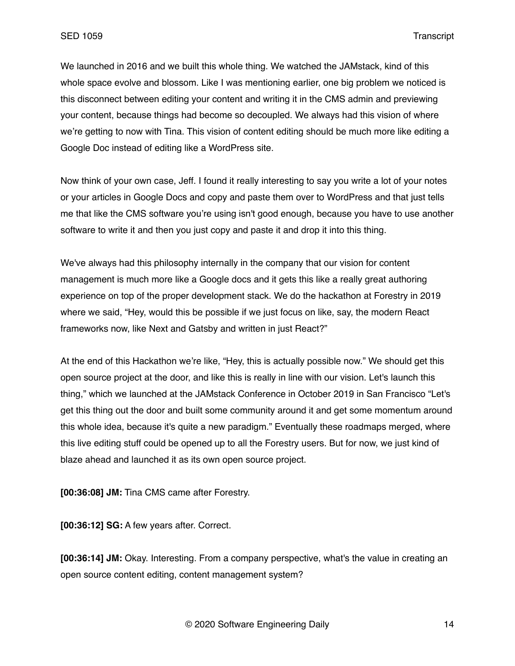We launched in 2016 and we built this whole thing. We watched the JAMstack, kind of this whole space evolve and blossom. Like I was mentioning earlier, one big problem we noticed is this disconnect between editing your content and writing it in the CMS admin and previewing your content, because things had become so decoupled. We always had this vision of where we're getting to now with Tina. This vision of content editing should be much more like editing a Google Doc instead of editing like a WordPress site.

Now think of your own case, Jeff. I found it really interesting to say you write a lot of your notes or your articles in Google Docs and copy and paste them over to WordPress and that just tells me that like the CMS software you're using isn't good enough, because you have to use another software to write it and then you just copy and paste it and drop it into this thing.

We've always had this philosophy internally in the company that our vision for content management is much more like a Google docs and it gets this like a really great authoring experience on top of the proper development stack. We do the hackathon at Forestry in 2019 where we said, "Hey, would this be possible if we just focus on like, say, the modern React frameworks now, like Next and Gatsby and written in just React?"

At the end of this Hackathon we're like, "Hey, this is actually possible now." We should get this open source project at the door, and like this is really in line with our vision. Let's launch this thing," which we launched at the JAMstack Conference in October 2019 in San Francisco "Let's get this thing out the door and built some community around it and get some momentum around this whole idea, because it's quite a new paradigm." Eventually these roadmaps merged, where this live editing stuff could be opened up to all the Forestry users. But for now, we just kind of blaze ahead and launched it as its own open source project.

**[00:36:08] JM:** Tina CMS came after Forestry.

**[00:36:12] SG:** A few years after. Correct.

**[00:36:14] JM:** Okay. Interesting. From a company perspective, what's the value in creating an open source content editing, content management system?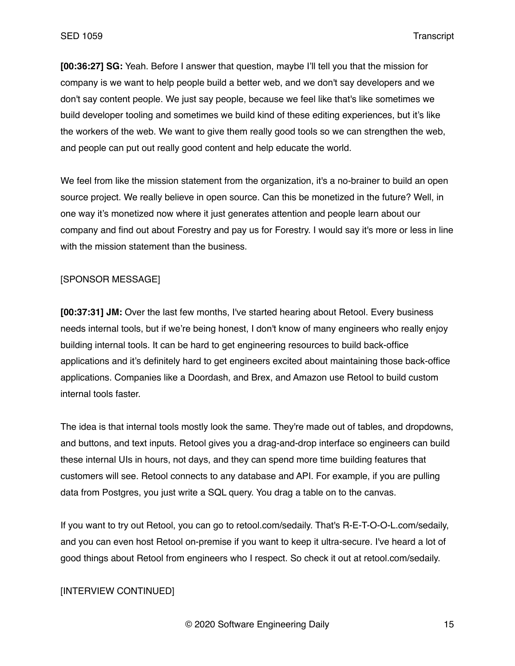**[00:36:27] SG:** Yeah. Before I answer that question, maybe I'll tell you that the mission for company is we want to help people build a better web, and we don't say developers and we don't say content people. We just say people, because we feel like that's like sometimes we build developer tooling and sometimes we build kind of these editing experiences, but it's like the workers of the web. We want to give them really good tools so we can strengthen the web, and people can put out really good content and help educate the world.

We feel from like the mission statement from the organization, it's a no-brainer to build an open source project. We really believe in open source. Can this be monetized in the future? Well, in one way it's monetized now where it just generates attention and people learn about our company and find out about Forestry and pay us for Forestry. I would say it's more or less in line with the mission statement than the business.

#### [SPONSOR MESSAGE]

**[00:37:31] JM:** Over the last few months, I've started hearing about Retool. Every business needs internal tools, but if we're being honest, I don't know of many engineers who really enjoy building internal tools. It can be hard to get engineering resources to build back-office applications and it's definitely hard to get engineers excited about maintaining those back-office applications. Companies like a Doordash, and Brex, and Amazon use Retool to build custom internal tools faster.

The idea is that internal tools mostly look the same. They're made out of tables, and dropdowns, and buttons, and text inputs. Retool gives you a drag-and-drop interface so engineers can build these internal UIs in hours, not days, and they can spend more time building features that customers will see. Retool connects to any database and API. For example, if you are pulling data from Postgres, you just write a SQL query. You drag a table on to the canvas.

If you want to try out Retool, you can go to retool.com/sedaily. That's R-E-T-O-O-L.com/sedaily, and you can even host Retool on-premise if you want to keep it ultra-secure. I've heard a lot of good things about Retool from engineers who I respect. So check it out at retool.com/sedaily.

### [INTERVIEW CONTINUED]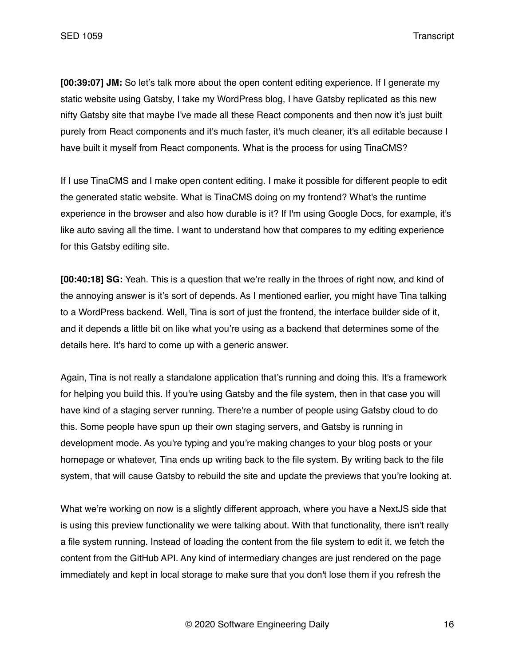**[00:39:07] JM:** So let's talk more about the open content editing experience. If I generate my static website using Gatsby, I take my WordPress blog, I have Gatsby replicated as this new nifty Gatsby site that maybe I've made all these React components and then now it's just built purely from React components and it's much faster, it's much cleaner, it's all editable because I have built it myself from React components. What is the process for using TinaCMS?

If I use TinaCMS and I make open content editing. I make it possible for different people to edit the generated static website. What is TinaCMS doing on my frontend? What's the runtime experience in the browser and also how durable is it? If I'm using Google Docs, for example, it's like auto saving all the time. I want to understand how that compares to my editing experience for this Gatsby editing site.

**[00:40:18] SG:** Yeah. This is a question that we're really in the throes of right now, and kind of the annoying answer is it's sort of depends. As I mentioned earlier, you might have Tina talking to a WordPress backend. Well, Tina is sort of just the frontend, the interface builder side of it, and it depends a little bit on like what you're using as a backend that determines some of the details here. It's hard to come up with a generic answer.

Again, Tina is not really a standalone application that's running and doing this. It's a framework for helping you build this. If you're using Gatsby and the file system, then in that case you will have kind of a staging server running. There're a number of people using Gatsby cloud to do this. Some people have spun up their own staging servers, and Gatsby is running in development mode. As you're typing and you're making changes to your blog posts or your homepage or whatever, Tina ends up writing back to the file system. By writing back to the file system, that will cause Gatsby to rebuild the site and update the previews that you're looking at.

What we're working on now is a slightly different approach, where you have a NextJS side that is using this preview functionality we were talking about. With that functionality, there isn't really a file system running. Instead of loading the content from the file system to edit it, we fetch the content from the GitHub API. Any kind of intermediary changes are just rendered on the page immediately and kept in local storage to make sure that you don't lose them if you refresh the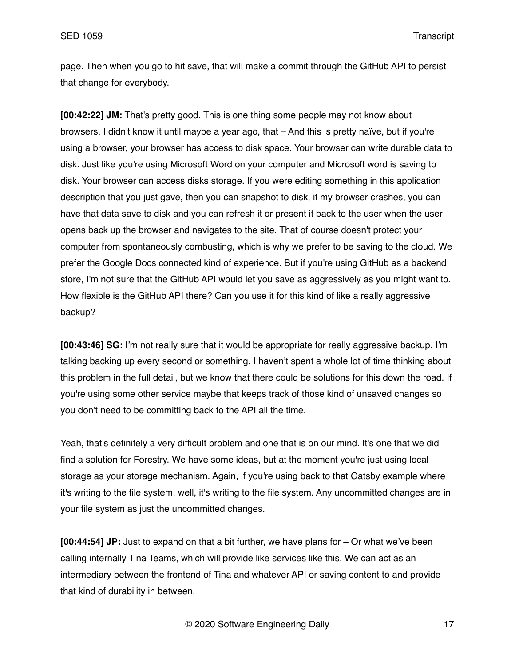page. Then when you go to hit save, that will make a commit through the GitHub API to persist that change for everybody.

**[00:42:22] JM:** That's pretty good. This is one thing some people may not know about browsers. I didn't know it until maybe a year ago, that – And this is pretty naïve, but if you're using a browser, your browser has access to disk space. Your browser can write durable data to disk. Just like you're using Microsoft Word on your computer and Microsoft word is saving to disk. Your browser can access disks storage. If you were editing something in this application description that you just gave, then you can snapshot to disk, if my browser crashes, you can have that data save to disk and you can refresh it or present it back to the user when the user opens back up the browser and navigates to the site. That of course doesn't protect your computer from spontaneously combusting, which is why we prefer to be saving to the cloud. We prefer the Google Docs connected kind of experience. But if you're using GitHub as a backend store, I'm not sure that the GitHub API would let you save as aggressively as you might want to. How flexible is the GitHub API there? Can you use it for this kind of like a really aggressive backup?

**[00:43:46] SG:** I'm not really sure that it would be appropriate for really aggressive backup. I'm talking backing up every second or something. I haven't spent a whole lot of time thinking about this problem in the full detail, but we know that there could be solutions for this down the road. If you're using some other service maybe that keeps track of those kind of unsaved changes so you don't need to be committing back to the API all the time.

Yeah, that's definitely a very difficult problem and one that is on our mind. It's one that we did find a solution for Forestry. We have some ideas, but at the moment you're just using local storage as your storage mechanism. Again, if you're using back to that Gatsby example where it's writing to the file system, well, it's writing to the file system. Any uncommitted changes are in your file system as just the uncommitted changes.

**[00:44:54] JP:** Just to expand on that a bit further, we have plans for – Or what we've been calling internally Tina Teams, which will provide like services like this. We can act as an intermediary between the frontend of Tina and whatever API or saving content to and provide that kind of durability in between.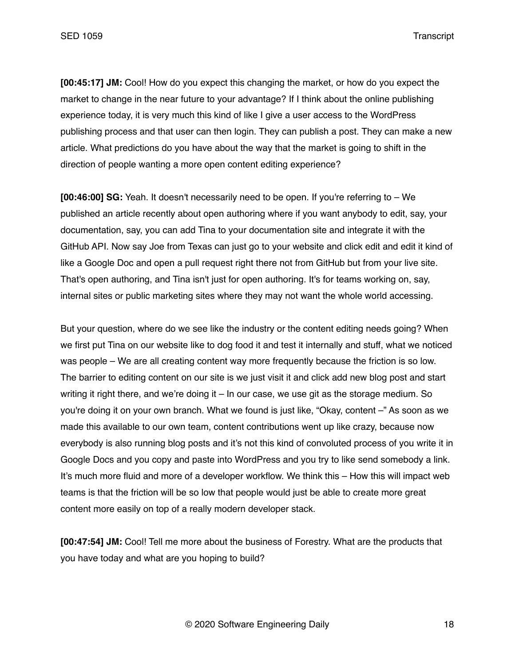**[00:45:17] JM:** Cool! How do you expect this changing the market, or how do you expect the market to change in the near future to your advantage? If I think about the online publishing experience today, it is very much this kind of like I give a user access to the WordPress publishing process and that user can then login. They can publish a post. They can make a new article. What predictions do you have about the way that the market is going to shift in the direction of people wanting a more open content editing experience?

**[00:46:00] SG:** Yeah. It doesn't necessarily need to be open. If you're referring to – We published an article recently about open authoring where if you want anybody to edit, say, your documentation, say, you can add Tina to your documentation site and integrate it with the GitHub API. Now say Joe from Texas can just go to your website and click edit and edit it kind of like a Google Doc and open a pull request right there not from GitHub but from your live site. That's open authoring, and Tina isn't just for open authoring. It's for teams working on, say, internal sites or public marketing sites where they may not want the whole world accessing.

But your question, where do we see like the industry or the content editing needs going? When we first put Tina on our website like to dog food it and test it internally and stuff, what we noticed was people – We are all creating content way more frequently because the friction is so low. The barrier to editing content on our site is we just visit it and click add new blog post and start writing it right there, and we're doing it – In our case, we use git as the storage medium. So you're doing it on your own branch. What we found is just like, "Okay, content –" As soon as we made this available to our own team, content contributions went up like crazy, because now everybody is also running blog posts and it's not this kind of convoluted process of you write it in Google Docs and you copy and paste into WordPress and you try to like send somebody a link. It's much more fluid and more of a developer workflow. We think this – How this will impact web teams is that the friction will be so low that people would just be able to create more great content more easily on top of a really modern developer stack.

**[00:47:54] JM:** Cool! Tell me more about the business of Forestry. What are the products that you have today and what are you hoping to build?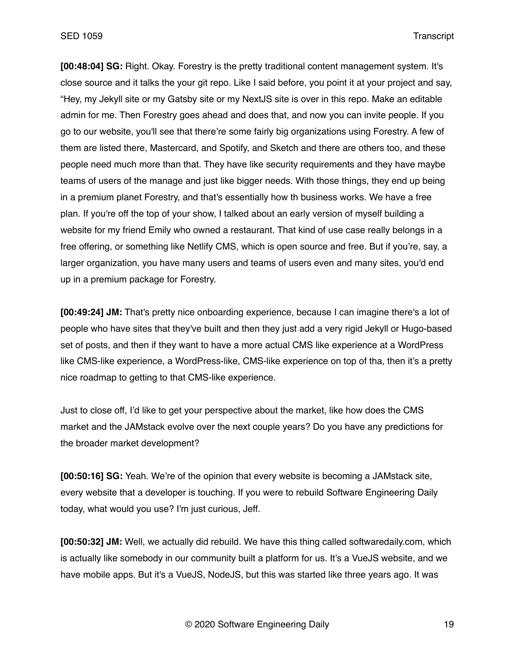**[00:48:04] SG:** Right. Okay. Forestry is the pretty traditional content management system. It's close source and it talks the your git repo. Like I said before, you point it at your project and say, "Hey, my Jekyll site or my Gatsby site or my NextJS site is over in this repo. Make an editable admin for me. Then Forestry goes ahead and does that, and now you can invite people. If you go to our website, you'll see that there're some fairly big organizations using Forestry. A few of them are listed there, Mastercard, and Spotify, and Sketch and there are others too, and these people need much more than that. They have like security requirements and they have maybe teams of users of the manage and just like bigger needs. With those things, they end up being in a premium planet Forestry, and that's essentially how th business works. We have a free plan. If you're off the top of your show, I talked about an early version of myself building a website for my friend Emily who owned a restaurant. That kind of use case really belongs in a free offering, or something like Netlify CMS, which is open source and free. But if you're, say, a larger organization, you have many users and teams of users even and many sites, you'd end up in a premium package for Forestry.

**[00:49:24] JM:** That's pretty nice onboarding experience, because I can imagine there's a lot of people who have sites that they've built and then they just add a very rigid Jekyll or Hugo-based set of posts, and then if they want to have a more actual CMS like experience at a WordPress like CMS-like experience, a WordPress-like, CMS-like experience on top of tha, then it's a pretty nice roadmap to getting to that CMS-like experience.

Just to close off, I'd like to get your perspective about the market, like how does the CMS market and the JAMstack evolve over the next couple years? Do you have any predictions for the broader market development?

**[00:50:16] SG:** Yeah. We're of the opinion that every website is becoming a JAMstack site, every website that a developer is touching. If you were to rebuild Software Engineering Daily today, what would you use? I'm just curious, Jeff.

**[00:50:32] JM:** Well, we actually did rebuild. We have this thing called softwaredaily.com, which is actually like somebody in our community built a platform for us. It's a VueJS website, and we have mobile apps. But it's a VueJS, NodeJS, but this was started like three years ago. It was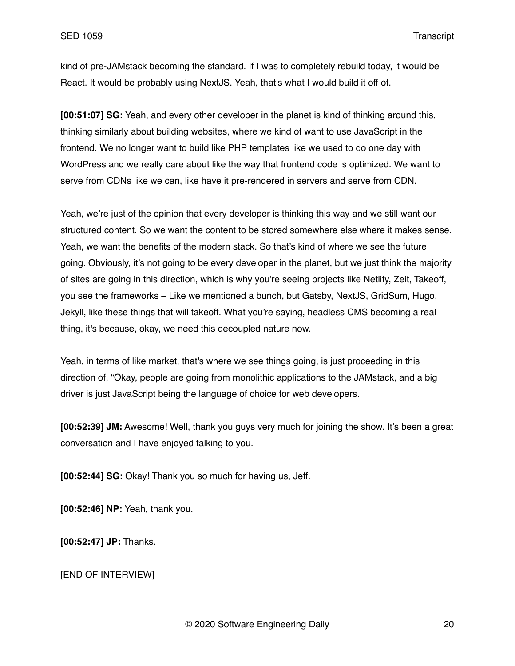kind of pre-JAMstack becoming the standard. If I was to completely rebuild today, it would be React. It would be probably using NextJS. Yeah, that's what I would build it off of.

**[00:51:07] SG:** Yeah, and every other developer in the planet is kind of thinking around this, thinking similarly about building websites, where we kind of want to use JavaScript in the frontend. We no longer want to build like PHP templates like we used to do one day with WordPress and we really care about like the way that frontend code is optimized. We want to serve from CDNs like we can, like have it pre-rendered in servers and serve from CDN.

Yeah, we're just of the opinion that every developer is thinking this way and we still want our structured content. So we want the content to be stored somewhere else where it makes sense. Yeah, we want the benefits of the modern stack. So that's kind of where we see the future going. Obviously, it's not going to be every developer in the planet, but we just think the majority of sites are going in this direction, which is why you're seeing projects like Netlify, Zeit, Takeoff, you see the frameworks – Like we mentioned a bunch, but Gatsby, NextJS, GridSum, Hugo, Jekyll, like these things that will takeoff. What you're saying, headless CMS becoming a real thing, it's because, okay, we need this decoupled nature now.

Yeah, in terms of like market, that's where we see things going, is just proceeding in this direction of, "Okay, people are going from monolithic applications to the JAMstack, and a big driver is just JavaScript being the language of choice for web developers.

**[00:52:39] JM:** Awesome! Well, thank you guys very much for joining the show. It's been a great conversation and I have enjoyed talking to you.

**[00:52:44] SG:** Okay! Thank you so much for having us, Jeff.

**[00:52:46] NP:** Yeah, thank you.

**[00:52:47] JP:** Thanks.

[END OF INTERVIEW]